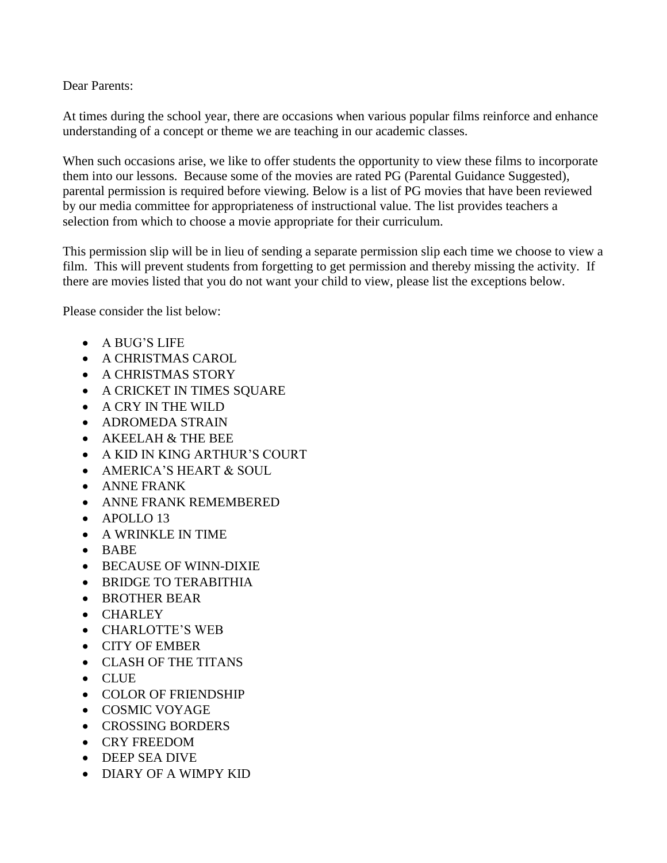Dear Parents:

At times during the school year, there are occasions when various popular films reinforce and enhance understanding of a concept or theme we are teaching in our academic classes.

When such occasions arise, we like to offer students the opportunity to view these films to incorporate them into our lessons. Because some of the movies are rated PG (Parental Guidance Suggested), parental permission is required before viewing. Below is a list of PG movies that have been reviewed by our media committee for appropriateness of instructional value. The list provides teachers a selection from which to choose a movie appropriate for their curriculum.

This permission slip will be in lieu of sending a separate permission slip each time we choose to view a film. This will prevent students from forgetting to get permission and thereby missing the activity. If there are movies listed that you do not want your child to view, please list the exceptions below.

Please consider the list below:

- A BUG'S LIFE
- A CHRISTMAS CAROL
- A CHRISTMAS STORY
- A CRICKET IN TIMES SQUARE
- A CRY IN THE WILD
- ADROMEDA STRAIN
- AKEELAH & THE BEE
- A KID IN KING ARTHUR'S COURT
- AMERICA'S HEART & SOUL
- ANNE FRANK
- ANNE FRANK REMEMBERED
- APOLLO 13
- A WRINKLE IN TIME
- BABE
- BECAUSE OF WINN-DIXIE
- BRIDGE TO TERABITHIA
- BROTHER BEAR
- CHARLEY
- CHARLOTTE'S WEB
- CITY OF EMBER
- CLASH OF THE TITANS
- CLUE
- COLOR OF FRIENDSHIP
- COSMIC VOYAGE
- CROSSING BORDERS
- CRY FREEDOM
- DEEP SEA DIVE
- DIARY OF A WIMPY KID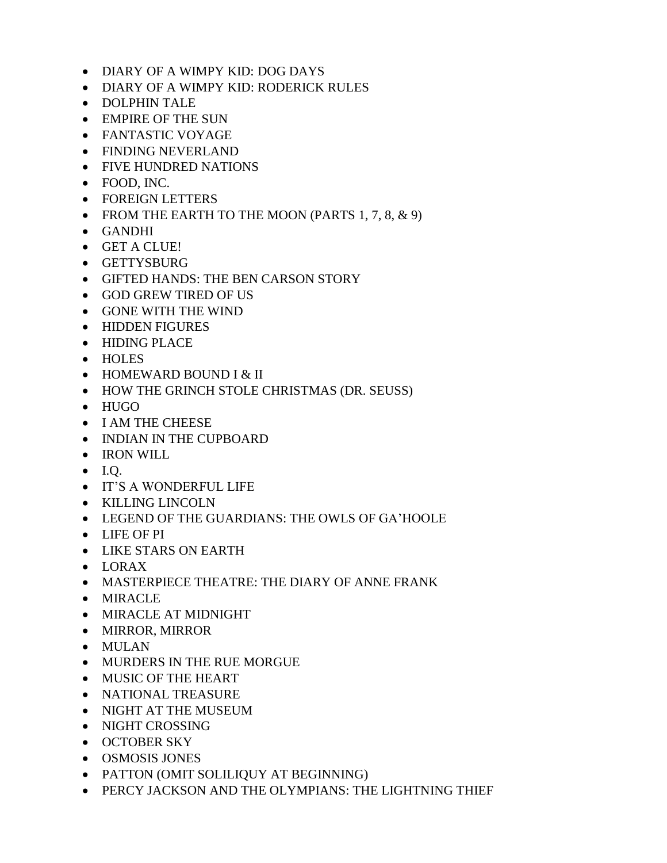- DIARY OF A WIMPY KID: DOG DAYS
- DIARY OF A WIMPY KID: RODERICK RULES
- DOLPHIN TALE
- EMPIRE OF THE SUN
- FANTASTIC VOYAGE
- FINDING NEVERLAND
- FIVE HUNDRED NATIONS
- FOOD, INC.
- FOREIGN LETTERS
- FROM THE EARTH TO THE MOON (PARTS  $1, 7, 8, \& 9$ )
- GANDHI
- GET A CLUE!
- GETTYSBURG
- GIFTED HANDS: THE BEN CARSON STORY
- GOD GREW TIRED OF US
- GONE WITH THE WIND
- HIDDEN FIGURES
- HIDING PLACE
- HOLES
- HOMEWARD BOUND I & II
- HOW THE GRINCH STOLE CHRISTMAS (DR. SEUSS)
- HUGO
- I AM THE CHEESE
- INDIAN IN THE CUPBOARD
- IRON WILL
- $\bullet$  I.Q.
- IT'S A WONDERFUL LIFE
- KILLING LINCOLN
- LEGEND OF THE GUARDIANS: THE OWLS OF GA'HOOLE
- LIFE OF PI
- LIKE STARS ON EARTH
- $\bullet$  LORAX
- MASTERPIECE THEATRE: THE DIARY OF ANNE FRANK
- MIRACLE
- MIRACLE AT MIDNIGHT
- MIRROR, MIRROR
- MULAN
- MURDERS IN THE RUE MORGUE
- MUSIC OF THE HEART
- NATIONAL TREASURE
- NIGHT AT THE MUSEUM
- NIGHT CROSSING
- OCTOBER SKY
- OSMOSIS JONES
- PATTON (OMIT SOLILIQUY AT BEGINNING)
- PERCY JACKSON AND THE OLYMPIANS: THE LIGHTNING THIEF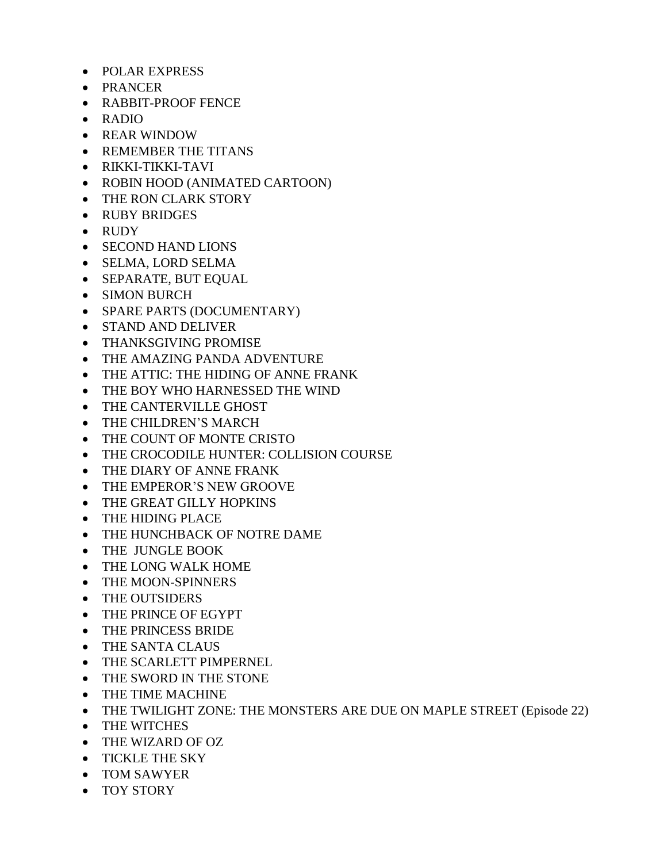- POLAR EXPRESS
- PRANCER
- RABBIT-PROOF FENCE
- RADIO
- REAR WINDOW
- REMEMBER THE TITANS
- RIKKI-TIKKI-TAVI
- ROBIN HOOD (ANIMATED CARTOON)
- THE RON CLARK STORY
- RUBY BRIDGES
- RUDY
- SECOND HAND LIONS
- SELMA, LORD SELMA
- SEPARATE, BUT EQUAL
- SIMON BURCH
- SPARE PARTS (DOCUMENTARY)
- STAND AND DELIVER
- THANKSGIVING PROMISE
- THE AMAZING PANDA ADVENTURE
- THE ATTIC: THE HIDING OF ANNE FRANK
- THE BOY WHO HARNESSED THE WIND
- THE CANTERVILLE GHOST
- THE CHILDREN'S MARCH
- THE COUNT OF MONTE CRISTO
- THE CROCODILE HUNTER: COLLISION COURSE
- THE DIARY OF ANNE FRANK
- THE EMPEROR'S NEW GROOVE
- THE GREAT GILLY HOPKINS
- THE HIDING PLACE
- THE HUNCHBACK OF NOTRE DAME
- THE JUNGLE BOOK
- THE LONG WALK HOME
- THE MOON-SPINNERS
- THE OUTSIDERS
- THE PRINCE OF EGYPT
- THE PRINCESS BRIDE
- THE SANTA CLAUS
- THE SCARLETT PIMPERNEL
- THE SWORD IN THE STONE
- THE TIME MACHINE
- THE TWILIGHT ZONE: THE MONSTERS ARE DUE ON MAPLE STREET (Episode 22)
- THE WITCHES
- THE WIZARD OF OZ
- TICKLE THE SKY
- TOM SAWYER
- TOY STORY